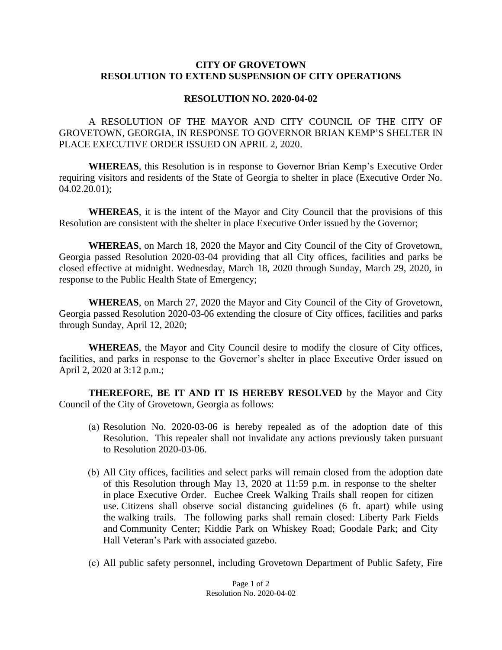## **CITY OF GROVETOWN RESOLUTION TO EXTEND SUSPENSION OF CITY OPERATIONS**

## **RESOLUTION NO. 2020-04-02**

A RESOLUTION OF THE MAYOR AND CITY COUNCIL OF THE CITY OF GROVETOWN, GEORGIA, IN RESPONSE TO GOVERNOR BRIAN KEMP'S SHELTER IN PLACE EXECUTIVE ORDER ISSUED ON APRIL 2, 2020.

**WHEREAS**, this Resolution is in response to Governor Brian Kemp's Executive Order requiring visitors and residents of the State of Georgia to shelter in place (Executive Order No. 04.02.20.01);

**WHEREAS**, it is the intent of the Mayor and City Council that the provisions of this Resolution are consistent with the shelter in place Executive Order issued by the Governor;

**WHEREAS**, on March 18, 2020 the Mayor and City Council of the City of Grovetown, Georgia passed Resolution 2020-03-04 providing that all City offices, facilities and parks be closed effective at midnight. Wednesday, March 18, 2020 through Sunday, March 29, 2020, in response to the Public Health State of Emergency;

**WHEREAS**, on March 27, 2020 the Mayor and City Council of the City of Grovetown, Georgia passed Resolution 2020-03-06 extending the closure of City offices, facilities and parks through Sunday, April 12, 2020;

**WHEREAS**, the Mayor and City Council desire to modify the closure of City offices, facilities, and parks in response to the Governor's shelter in place Executive Order issued on April 2, 2020 at 3:12 p.m.;

**THEREFORE, BE IT AND IT IS HEREBY RESOLVED** by the Mayor and City Council of the City of Grovetown, Georgia as follows:

- (a) Resolution No. 2020-03-06 is hereby repealed as of the adoption date of this Resolution. This repealer shall not invalidate any actions previously taken pursuant to Resolution 2020-03-06.
- (b) All City offices, facilities and select parks will remain closed from the adoption date of this Resolution through May 13, 2020 at 11:59 p.m. in response to the shelter in place Executive Order. Euchee Creek Walking Trails shall reopen for citizen use. Citizens shall observe social distancing guidelines (6 ft. apart) while using the walking trails. The following parks shall remain closed: Liberty Park Fields and Community Center; Kiddie Park on Whiskey Road; Goodale Park; and City Hall Veteran's Park with associated gazebo.
- (c) All public safety personnel, including Grovetown Department of Public Safety, Fire